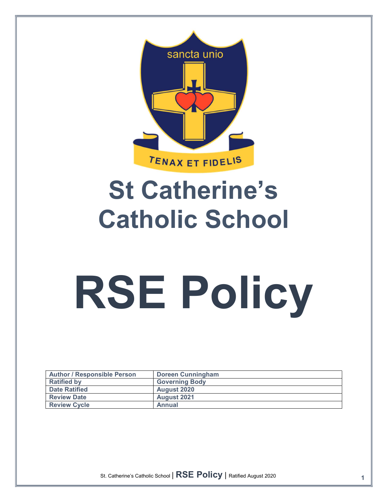

# St Catherine's Catholic School

# RSE Policy

| <b>Author / Responsible Person</b> | <b>Doreen Cunningham</b> |
|------------------------------------|--------------------------|
| <b>Ratified by</b>                 | <b>Governing Body</b>    |
| <b>Date Ratified</b>               | August 2020              |
| <b>Review Date</b>                 | <b>August 2021</b>       |
| <b>Review Cycle</b>                | Annual                   |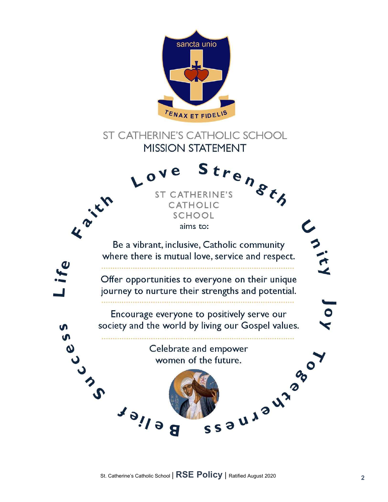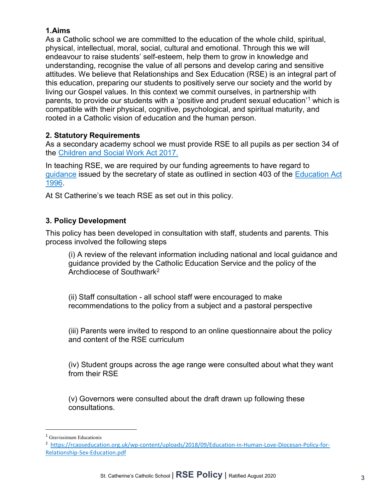#### 1.Aims

As a Catholic school we are committed to the education of the whole child, spiritual, physical, intellectual, moral, social, cultural and emotional. Through this we will endeavour to raise students' self-esteem, help them to grow in knowledge and understanding, recognise the value of all persons and develop caring and sensitive attitudes. We believe that Relationships and Sex Education (RSE) is an integral part of this education, preparing our students to positively serve our society and the world by living our Gospel values. In this context we commit ourselves, in partnership with parents, to provide our students with a 'positive and prudent sexual education'<sup>1</sup> which is compatible with their physical, cognitive, psychological, and spiritual maturity, and rooted in a Catholic vision of education and the human person.

#### 2. Statutory Requirements

As a secondary academy school we must provide RSE to all pupils as per section 34 of the Children and Social Work Act 2017.

In teaching RSE, we are required by our funding agreements to have regard to guidance issued by the secretary of state as outlined in section 403 of the Education Act 1996.

At St Catherine's we teach RSE as set out in this policy.

#### 3. Policy Development

This policy has been developed in consultation with staff, students and parents. This process involved the following steps

(i) A review of the relevant information including national and local guidance and guidance provided by the Catholic Education Service and the policy of the Archdiocese of Southwark<sup>2</sup>

(ii) Staff consultation - all school staff were encouraged to make recommendations to the policy from a subject and a pastoral perspective

(iii) Parents were invited to respond to an online questionnaire about the policy and content of the RSE curriculum

(iv) Student groups across the age range were consulted about what they want from their RSE

(v) Governors were consulted about the draft drawn up following these consultations.

l

<sup>1</sup> Gravissimum Educationis

<sup>&</sup>lt;sup>2</sup> https://rcaoseducation.org.uk/wp-content/uploads/2018/09/Education-in-Human-Love-Diocesan-Policy-for-Relationship-Sex-Education.pdf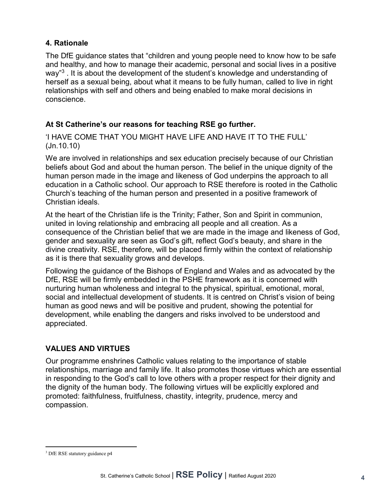### 4. Rationale

The DfE guidance states that "children and young people need to know how to be safe and healthy, and how to manage their academic, personal and social lives in a positive way"<sup>3</sup> . It is about the development of the student's knowledge and understanding of herself as a sexual being, about what it means to be fully human, called to live in right relationships with self and others and being enabled to make moral decisions in conscience.

# At St Catherine's our reasons for teaching RSE go further.

'I HAVE COME THAT YOU MIGHT HAVE LIFE AND HAVE IT TO THE FULL' (Jn.10.10)

We are involved in relationships and sex education precisely because of our Christian beliefs about God and about the human person. The belief in the unique dignity of the human person made in the image and likeness of God underpins the approach to all education in a Catholic school. Our approach to RSE therefore is rooted in the Catholic Church's teaching of the human person and presented in a positive framework of Christian ideals.

At the heart of the Christian life is the Trinity; Father, Son and Spirit in communion, united in loving relationship and embracing all people and all creation. As a consequence of the Christian belief that we are made in the image and likeness of God, gender and sexuality are seen as God's gift, reflect God's beauty, and share in the divine creativity. RSE, therefore, will be placed firmly within the context of relationship as it is there that sexuality grows and develops.

Following the guidance of the Bishops of England and Wales and as advocated by the DfE, RSE will be firmly embedded in the PSHE framework as it is concerned with nurturing human wholeness and integral to the physical, spiritual, emotional, moral, social and intellectual development of students. It is centred on Christ's vision of being human as good news and will be positive and prudent, showing the potential for development, while enabling the dangers and risks involved to be understood and appreciated.

# VALUES AND VIRTUES

Our programme enshrines Catholic values relating to the importance of stable relationships, marriage and family life. It also promotes those virtues which are essential in responding to the God's call to love others with a proper respect for their dignity and the dignity of the human body. The following virtues will be explicitly explored and promoted: faithfulness, fruitfulness, chastity, integrity, prudence, mercy and compassion.

l 3 DfE RSE statutory guidance p4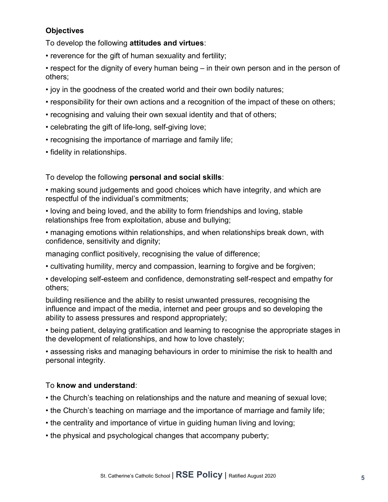#### **Objectives**

To develop the following attitudes and virtues:

- reverence for the gift of human sexuality and fertility;
- respect for the dignity of every human being in their own person and in the person of others;
- joy in the goodness of the created world and their own bodily natures;
- responsibility for their own actions and a recognition of the impact of these on others;
- recognising and valuing their own sexual identity and that of others;
- celebrating the gift of life-long, self-giving love;
- recognising the importance of marriage and family life;
- fidelity in relationships.

#### To develop the following personal and social skills:

• making sound judgements and good choices which have integrity, and which are respectful of the individual's commitments;

• loving and being loved, and the ability to form friendships and loving, stable relationships free from exploitation, abuse and bullying;

• managing emotions within relationships, and when relationships break down, with confidence, sensitivity and dignity;

managing conflict positively, recognising the value of difference;

- cultivating humility, mercy and compassion, learning to forgive and be forgiven;
- developing self-esteem and confidence, demonstrating self-respect and empathy for others;

building resilience and the ability to resist unwanted pressures, recognising the influence and impact of the media, internet and peer groups and so developing the ability to assess pressures and respond appropriately;

• being patient, delaying gratification and learning to recognise the appropriate stages in the development of relationships, and how to love chastely;

• assessing risks and managing behaviours in order to minimise the risk to health and personal integrity.

#### To know and understand:

- the Church's teaching on relationships and the nature and meaning of sexual love;
- the Church's teaching on marriage and the importance of marriage and family life;
- the centrality and importance of virtue in guiding human living and loving;
- the physical and psychological changes that accompany puberty;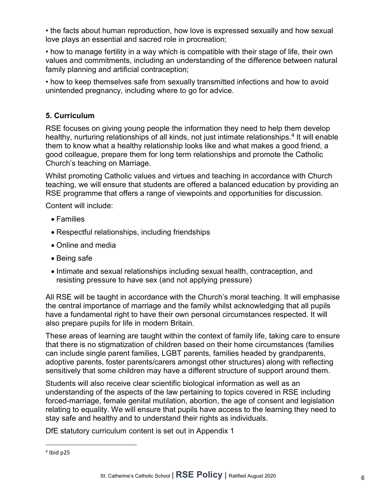• the facts about human reproduction, how love is expressed sexually and how sexual love plays an essential and sacred role in procreation;

• how to manage fertility in a way which is compatible with their stage of life, their own values and commitments, including an understanding of the difference between natural family planning and artificial contraception;

• how to keep themselves safe from sexually transmitted infections and how to avoid unintended pregnancy, including where to go for advice.

#### 5. Curriculum

RSE focuses on giving young people the information they need to help them develop healthy, nurturing relationships of all kinds, not just intimate relationships.<sup>4</sup> It will enable them to know what a healthy relationship looks like and what makes a good friend, a good colleague, prepare them for long term relationships and promote the Catholic Church's teaching on Marriage.

Whilst promoting Catholic values and virtues and teaching in accordance with Church teaching, we will ensure that students are offered a balanced education by providing an RSE programme that offers a range of viewpoints and opportunities for discussion.

Content will include:

- Families
- Respectful relationships, including friendships
- Online and media
- Being safe
- Intimate and sexual relationships including sexual health, contraception, and resisting pressure to have sex (and not applying pressure)

All RSE will be taught in accordance with the Church's moral teaching. It will emphasise the central importance of marriage and the family whilst acknowledging that all pupils have a fundamental right to have their own personal circumstances respected. It will also prepare pupils for life in modern Britain.

These areas of learning are taught within the context of family life, taking care to ensure that there is no stigmatization of children based on their home circumstances (families can include single parent families, LGBT parents, families headed by grandparents, adoptive parents, foster parents/carers amongst other structures) along with reflecting sensitively that some children may have a different structure of support around them.

Students will also receive clear scientific biological information as well as an understanding of the aspects of the law pertaining to topics covered in RSE including forced-marriage, female genital mutilation, abortion, the age of consent and legislation relating to equality. We will ensure that pupils have access to the learning they need to stay safe and healthy and to understand their rights as individuals.

DfE statutory curriculum content is set out in Appendix 1

l

 $4$  Ibid p25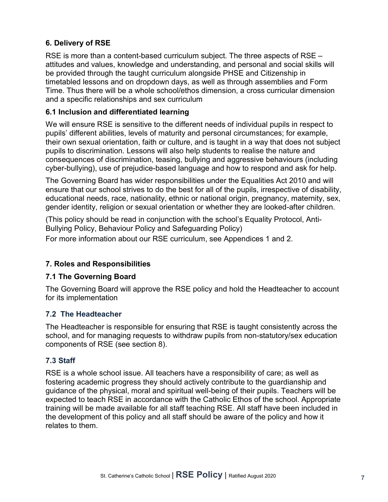# 6. Delivery of RSE

RSE is more than a content-based curriculum subject. The three aspects of RSE – attitudes and values, knowledge and understanding, and personal and social skills will be provided through the taught curriculum alongside PHSE and Citizenship in timetabled lessons and on dropdown days, as well as through assemblies and Form Time. Thus there will be a whole school/ethos dimension, a cross curricular dimension and a specific relationships and sex curriculum

#### 6.1 Inclusion and differentiated learning

We will ensure RSE is sensitive to the different needs of individual pupils in respect to pupils' different abilities, levels of maturity and personal circumstances; for example, their own sexual orientation, faith or culture, and is taught in a way that does not subject pupils to discrimination. Lessons will also help students to realise the nature and consequences of discrimination, teasing, bullying and aggressive behaviours (including cyber-bullying), use of prejudice-based language and how to respond and ask for help.

The Governing Board has wider responsibilities under the Equalities Act 2010 and will ensure that our school strives to do the best for all of the pupils, irrespective of disability, educational needs, race, nationality, ethnic or national origin, pregnancy, maternity, sex, gender identity, religion or sexual orientation or whether they are looked-after children.

(This policy should be read in conjunction with the school's Equality Protocol, Anti-Bullying Policy, Behaviour Policy and Safeguarding Policy)

For more information about our RSE curriculum, see Appendices 1 and 2.

#### 7. Roles and Responsibilities

#### 7.1 The Governing Board

The Governing Board will approve the RSE policy and hold the Headteacher to account for its implementation

#### 7.2 The Headteacher

The Headteacher is responsible for ensuring that RSE is taught consistently across the school, and for managing requests to withdraw pupils from non-statutory/sex education components of RSE (see section 8).

#### 7.3 Staff

RSE is a whole school issue. All teachers have a responsibility of care; as well as fostering academic progress they should actively contribute to the guardianship and guidance of the physical, moral and spiritual well-being of their pupils. Teachers will be expected to teach RSE in accordance with the Catholic Ethos of the school. Appropriate training will be made available for all staff teaching RSE. All staff have been included in the development of this policy and all staff should be aware of the policy and how it relates to them.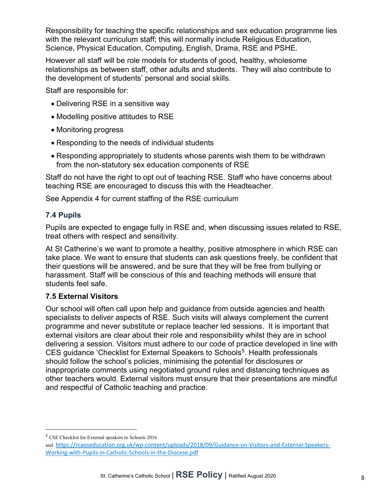Responsibility for teaching the specific relationships and sex education programme lies with the relevant curriculum staff; this will normally include Religious Education, Science, Physical Education, Computing, English, Drama, RSE and PSHE.

However all staff will be role models for students of good, healthy, wholesome relationships as between staff, other adults and students. They will also contribute to the development of students' personal and social skills.

Staff are responsible for:

- Delivering RSE in a sensitive way
- Modelling positive attitudes to RSE
- Monitoring progress
- Responding to the needs of individual students
- Responding appropriately to students whose parents wish them to be withdrawn from the non-statutory sex education components of RSE

Staff do not have the right to opt out of teaching RSE. Staff who have concerns about teaching RSE are encouraged to discuss this with the Headteacher.

See Appendix 4 for current staffing of the RSE curriculum

#### 7.4 Pupils

Pupils are expected to engage fully in RSE and, when discussing issues related to RSE, treat others with respect and sensitivity.

At St Catherine's we want to promote a healthy, positive atmosphere in which RSE can take place. We want to ensure that students can ask questions freely, be confident that their questions will be answered, and be sure that they will be free from bullying or harassment. Staff will be conscious of this and teaching methods will ensure that students feel safe.

#### 7.5 External Visitors

Our school will often call upon help and guidance from outside agencies and health specialists to deliver aspects of RSE. Such visits will always complement the current programme and never substitute or replace teacher led sessions. It is important that external visitors are clear about their role and responsibility whilst they are in school delivering a session. Visitors must adhere to our code of practice developed in line with CES guidance 'Checklist for External Speakers to Schools<sup>5</sup>. Health professionals should follow the school's policies, minimising the potential for disclosures or inappropriate comments using negotiated ground rules and distancing techniques as other teachers would. External visitors must ensure that their presentations are mindful and respectful of Catholic teaching and practice.

l

<sup>5</sup> CSE Checklist for External speakers to Schools 2016

and https://rcaoseducation.org.uk/wp-content/uploads/2018/09/Guidance-on-Visitors-and-External-Speakers-Working-with-Pupils-in-Catholic-Schools-in-the-Diocese.pdf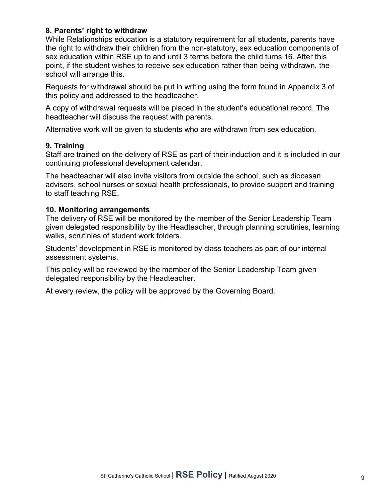#### 8. Parents' right to withdraw

While Relationships education is a statutory requirement for all students, parents have the right to withdraw their children from the non-statutory, sex education components of sex education within RSE up to and until 3 terms before the child turns 16. After this point, if the student wishes to receive sex education rather than being withdrawn, the school will arrange this.

Requests for withdrawal should be put in writing using the form found in Appendix 3 of this policy and addressed to the headteacher.

A copy of withdrawal requests will be placed in the student's educational record. The headteacher will discuss the request with parents.

Alternative work will be given to students who are withdrawn from sex education.

#### 9. Training

Staff are trained on the delivery of RSE as part of their induction and it is included in our continuing professional development calendar.

The headteacher will also invite visitors from outside the school, such as diocesan advisers, school nurses or sexual health professionals, to provide support and training to staff teaching RSE.

#### 10. Monitoring arrangements

The delivery of RSE will be monitored by the member of the Senior Leadership Team given delegated responsibility by the Headteacher, through planning scrutinies, learning walks, scrutinies of student work folders.

Students' development in RSE is monitored by class teachers as part of our internal assessment systems.

This policy will be reviewed by the member of the Senior Leadership Team given delegated responsibility by the Headteacher.

At every review, the policy will be approved by the Governing Board.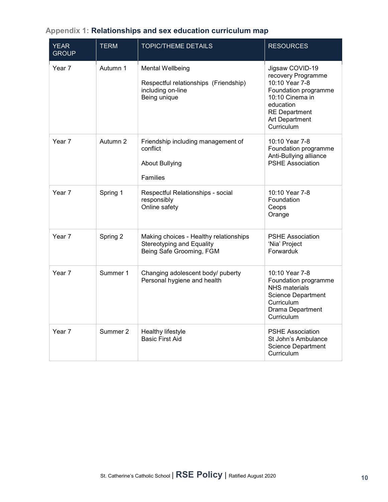| <b>YEAR</b><br><b>GROUP</b> | <b>TERM</b> | <b>TOPIC/THEME DETAILS</b>                                                                            | <b>RESOURCES</b>                                                                                                                                                        |
|-----------------------------|-------------|-------------------------------------------------------------------------------------------------------|-------------------------------------------------------------------------------------------------------------------------------------------------------------------------|
| Year 7                      | Autumn 1    | <b>Mental Wellbeing</b><br>Respectful relationships (Friendship)<br>including on-line<br>Being unique | Jigsaw COVID-19<br>recovery Programme<br>10:10 Year 7-8<br>Foundation programme<br>10:10 Cinema in<br>education<br><b>RE Department</b><br>Art Department<br>Curriculum |
| Year 7                      | Autumn 2    | Friendship including management of<br>conflict<br><b>About Bullying</b><br>Families                   | 10:10 Year 7-8<br>Foundation programme<br>Anti-Bullying alliance<br><b>PSHE Association</b>                                                                             |
| Year 7                      | Spring 1    | Respectful Relationships - social<br>responsibly<br>Online safety                                     | 10:10 Year 7-8<br>Foundation<br>Ceops<br>Orange                                                                                                                         |
| Year 7                      | Spring 2    | Making choices - Healthy relationships<br>Stereotyping and Equality<br>Being Safe Grooming, FGM       | <b>PSHE Association</b><br>'Nia' Project<br>Forwarduk                                                                                                                   |
| Year 7                      | Summer 1    | Changing adolescent body/ puberty<br>Personal hygiene and health                                      | 10:10 Year 7-8<br>Foundation programme<br><b>NHS</b> materials<br><b>Science Department</b><br>Curriculum<br>Drama Department<br>Curriculum                             |
| Year 7                      | Summer 2    | Healthy lifestyle<br><b>Basic First Aid</b>                                                           | <b>PSHE Association</b><br>St John's Ambulance<br><b>Science Department</b><br>Curriculum                                                                               |

# Appendix 1: Relationships and sex education curriculum map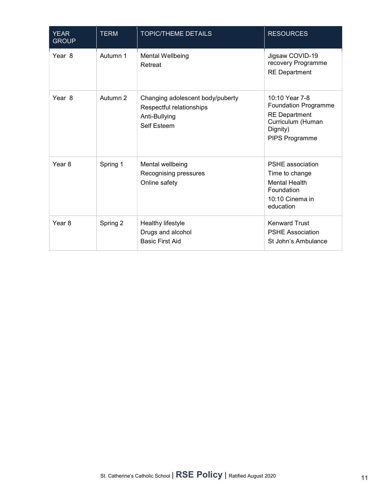| <b>YEAR</b><br><b>GROUP</b> | <b>TERM</b> | <b>TOPIC/THEME DETAILS</b>                                                                          | <b>RESOURCES</b>                                                                                                         |
|-----------------------------|-------------|-----------------------------------------------------------------------------------------------------|--------------------------------------------------------------------------------------------------------------------------|
| Year 8                      | Autumn 1    | <b>Mental Wellbeing</b><br>Retreat                                                                  | Jigsaw COVID-19<br>recovery Programme<br><b>RE Department</b>                                                            |
| Year <sub>8</sub>           | Autumn 2    | Changing adolescent body/puberty<br>Respectful relationships<br>Anti-Bullying<br><b>Self Esteem</b> | 10:10 Year 7-8<br><b>Foundation Programme</b><br><b>RE Department</b><br>Curriculum (Human<br>Dignity)<br>PIPS Programme |
| Year 8                      | Spring 1    | Mental wellbeing<br>Recognising pressures<br>Online safety                                          | <b>PSHE</b> association<br>Time to change<br><b>Mental Health</b><br>Foundation<br>10:10 Cinema in<br>education          |
| Year <sub>8</sub>           | Spring 2    | Healthy lifestyle<br>Drugs and alcohol<br><b>Basic First Aid</b>                                    | <b>Kenward Trust</b><br><b>PSHE Association</b><br>St John's Ambulance                                                   |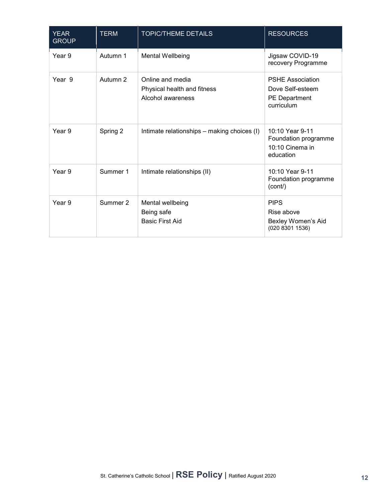| <b>YEAR</b><br><b>GROUP</b> | <b>TERM</b> | <b>TOPIC/THEME DETAILS</b>                                           | <b>RESOURCES</b>                                                                  |
|-----------------------------|-------------|----------------------------------------------------------------------|-----------------------------------------------------------------------------------|
| Year 9                      | Autumn 1    | <b>Mental Wellbeing</b>                                              | Jigsaw COVID-19<br>recovery Programme                                             |
| Year 9                      | Autumn 2    | Online and media<br>Physical health and fitness<br>Alcohol awareness | <b>PSHE Association</b><br>Dove Self-esteem<br><b>PE Department</b><br>curriculum |
| Year 9                      | Spring 2    | Intimate relationships – making choices (I)                          | 10:10 Year 9-11<br>Foundation programme<br>10:10 Cinema in<br>education           |
| Year 9                      | Summer 1    | Intimate relationships (II)                                          | 10:10 Year 9-11<br>Foundation programme<br>(cont)                                 |
| Year 9                      | Summer 2    | Mental wellbeing<br>Being safe<br><b>Basic First Aid</b>             | <b>PIPS</b><br>Rise above<br>Bexley Women's Aid<br>(020 8301 1536)                |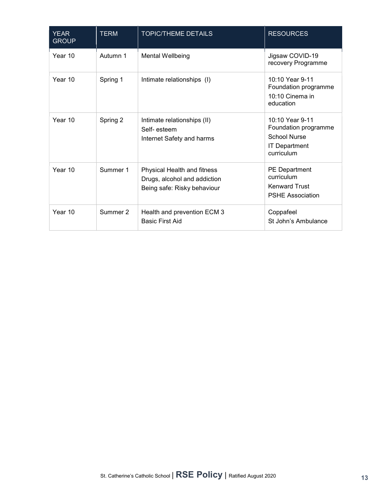| <b>YEAR</b><br><b>GROUP</b> | <b>TERM</b> | <b>TOPIC/THEME DETAILS</b>                                                                 | <b>RESOURCES</b>                                                                                     |
|-----------------------------|-------------|--------------------------------------------------------------------------------------------|------------------------------------------------------------------------------------------------------|
| Year 10                     | Autumn 1    | <b>Mental Wellbeing</b>                                                                    | Jigsaw COVID-19<br>recovery Programme                                                                |
| Year 10                     | Spring 1    | Intimate relationships (I)                                                                 | 10:10 Year 9-11<br>Foundation programme<br>10:10 Cinema in<br>education                              |
| Year 10                     | Spring 2    | Intimate relationships (II)<br>Self-esteem<br>Internet Safety and harms                    | 10:10 Year 9-11<br>Foundation programme<br><b>School Nurse</b><br><b>IT Department</b><br>curriculum |
| Year 10                     | Summer 1    | Physical Health and fitness<br>Drugs, alcohol and addiction<br>Being safe: Risky behaviour | <b>PE</b> Department<br>curriculum<br><b>Kenward Trust</b><br><b>PSHE Association</b>                |
| Year 10                     | Summer 2    | Health and prevention ECM 3<br><b>Basic First Aid</b>                                      | Coppafeel<br>St John's Ambulance                                                                     |